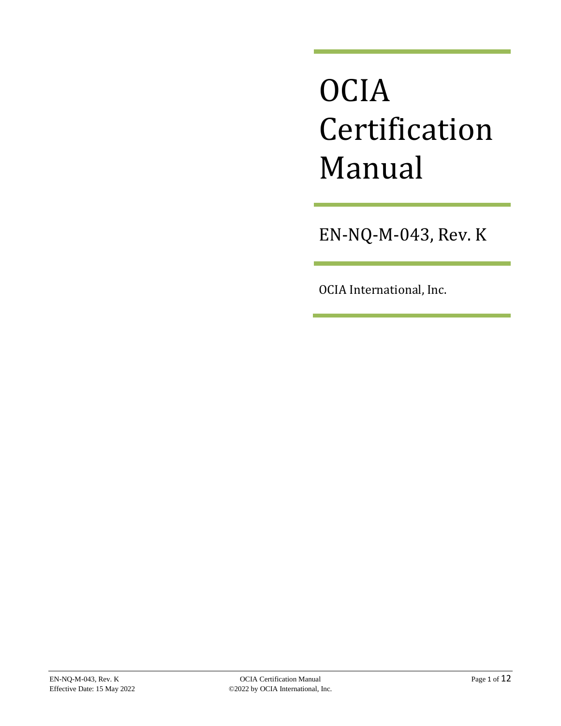# **OCIA** Certification Manual

EN-NQ-M-043, Rev. K

OCIA International, Inc.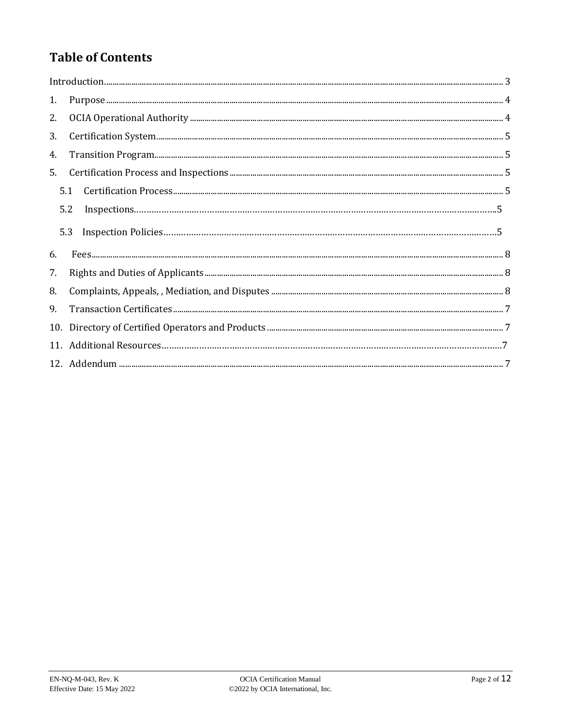# **Table of Contents**

| $\label{prop:1} Introduction. 3$ |     |  |
|----------------------------------|-----|--|
| 1.                               |     |  |
| 2.                               |     |  |
| 3.                               |     |  |
| 4.                               |     |  |
| 5.                               |     |  |
|                                  | 5.1 |  |
|                                  | 5.2 |  |
|                                  | 5.3 |  |
| 6.                               |     |  |
|                                  |     |  |
| 7.                               |     |  |
| 8.                               |     |  |
| 9.                               |     |  |
| 10.                              |     |  |
|                                  |     |  |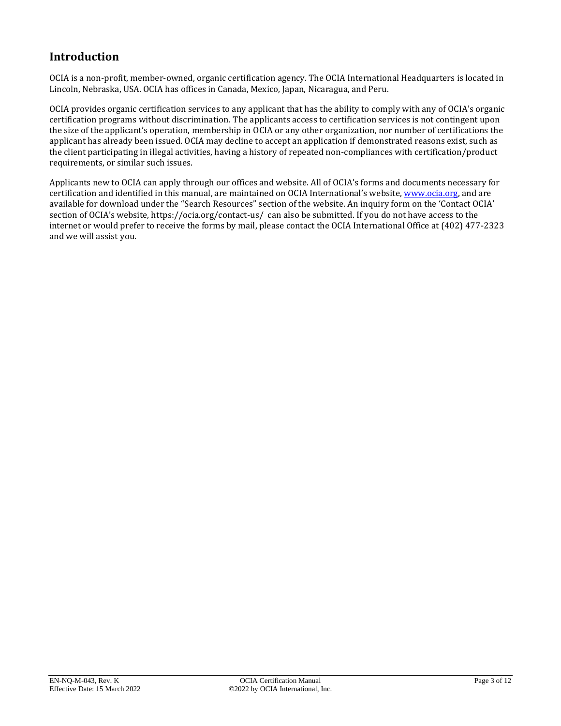## <span id="page-2-0"></span>**Introduction**

OCIA is a non-profit, member-owned, organic certification agency. The OCIA International Headquarters is located in Lincoln, Nebraska, USA. OCIA has offices in Canada, Mexico, Japan, Nicaragua, and Peru.

OCIA provides organic certification services to any applicant that has the ability to comply with any of OCIA's organic certification programs without discrimination. The applicants access to certification services is not contingent upon the size of the applicant's operation, membership in OCIA or any other organization, nor number of certifications the applicant has already been issued. OCIA may decline to accept an application if demonstrated reasons exist, such as the client participating in illegal activities, having a history of repeated non-compliances with certification/product requirements, or similar such issues.

Applicants new to OCIA can apply through our offices and website. All of OCIA's forms and documents necessary for certification and identified in this manual, are maintained on OCIA International's website, [www.ocia.org,](http://www.ocia.org/) and are available for download under the "Search Resources" section of the website. An inquiry form on the 'Contact OCIA' section of OCIA's website, https://ocia.org/contact-us/ can also be submitted. If you do not have access to the internet or would prefer to receive the forms by mail, please contact the OCIA International Office at (402) 477-2323 and we will assist you.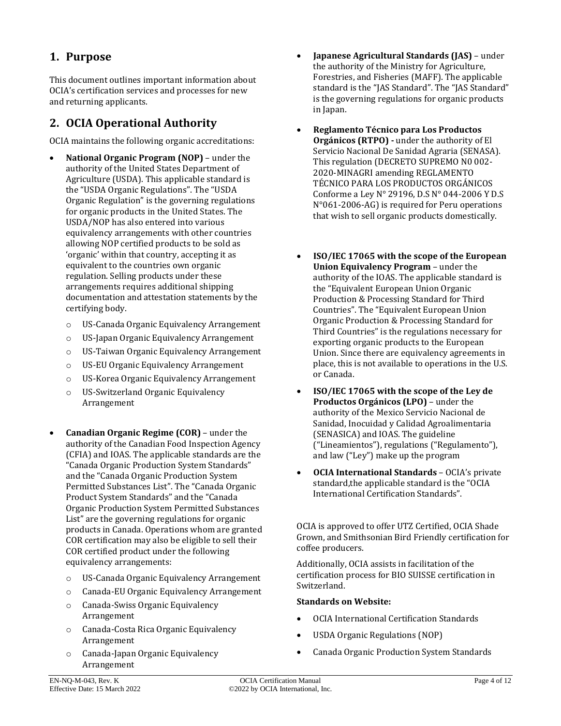## <span id="page-3-0"></span>**1. Purpose**

This document outlines important information about OCIA's certification services and processes for new and returning applicants.

## <span id="page-3-1"></span>**2. OCIA Operational Authority**

OCIA maintains the following organic accreditations:

- **National Organic Program (NOP)** under the authority of the United States Department of Agriculture (USDA). This applicable standard is the "USDA Organic Regulations". The "USDA Organic Regulation" is the governing regulations for organic products in the United States. The USDA/NOP has also entered into various equivalency arrangements with other countries allowing NOP certified products to be sold as 'organic' within that country, accepting it as equivalent to the countries own organic regulation. Selling products under these arrangements requires additional shipping documentation and attestation statements by the certifying body.
	- o US-Canada Organic Equivalency Arrangement
	- o US-Japan Organic Equivalency Arrangement
	- o US-Taiwan Organic Equivalency Arrangement
	- o US-EU Organic Equivalency Arrangement
	- o US-Korea Organic Equivalency Arrangement
	- o US-Switzerland Organic Equivalency Arrangement
- **Canadian Organic Regime (COR)** under the authority of the Canadian Food Inspection Agency (CFIA) and IOAS. The applicable standards are the "Canada Organic Production System Standards" and the "Canada Organic Production System Permitted Substances List". The "Canada Organic Product System Standards" and the "Canada Organic Production System Permitted Substances List" are the governing regulations for organic products in Canada. Operations whom are granted COR certification may also be eligible to sell their COR certified product under the following equivalency arrangements:
	- o US-Canada Organic Equivalency Arrangement
	- o Canada-EU Organic Equivalency Arrangement
	- o Canada-Swiss Organic Equivalency Arrangement
	- o Canada-Costa Rica Organic Equivalency Arrangement
	- o Canada-Japan Organic Equivalency Arrangement
- **Japanese Agricultural Standards (JAS)** under the authority of the Ministry for Agriculture, Forestries, and Fisheries (MAFF). The applicable standard is the "JAS Standard". The "JAS Standard" is the governing regulations for organic products in Japan.
- **Reglamento Técnico para Los Productos Orgánicos (RTPO) -** under the authority of El Servicio Nacional De Sanidad Agraria (SENASA). This regulation (DECRETO SUPREMO N0 002- 2020-MINAGRI amending REGLAMENTO TÉCNICO PARA LOS PRODUCTOS ORGÁNICOS Conforme a Ley N° 29196, D.S N° 044-2006 Y D.S N°061-2006-AG) is required for Peru operations that wish to sell organic products domestically.
- **ISO/IEC 17065 with the scope of the European Union Equivalency Program** – under the authority of the IOAS. The applicable standard is the "Equivalent European Union Organic Production & Processing Standard for Third Countries". The "Equivalent European Union Organic Production & Processing Standard for Third Countries" is the regulations necessary for exporting organic products to the European Union. Since there are equivalency agreements in place, this is not available to operations in the U.S. or Canada.
- **ISO/IEC 17065 with the scope of the Ley de Productos Orgánicos (LPO)** – under the authority of the Mexico Servicio Nacional de Sanidad, Inocuidad y Calidad Agroalimentaria (SENASICA) and IOAS. The guideline ("Lineamientos"), regulations ("Regulamento"), and law ("Ley") make up the program
- **OCIA International Standards** OCIA's private standard,the applicable standard is the "OCIA International Certification Standards".

OCIA is approved to offer UTZ Certified, OCIA Shade Grown, and Smithsonian Bird Friendly certification for coffee producers.

Additionally, OCIA assists in facilitation of the certification process for BIO SUISSE certification in Switzerland.

#### **Standards on Website:**

- OCIA International Certification Standards
- USDA Organic Regulations (NOP)
- Canada Organic Production System Standards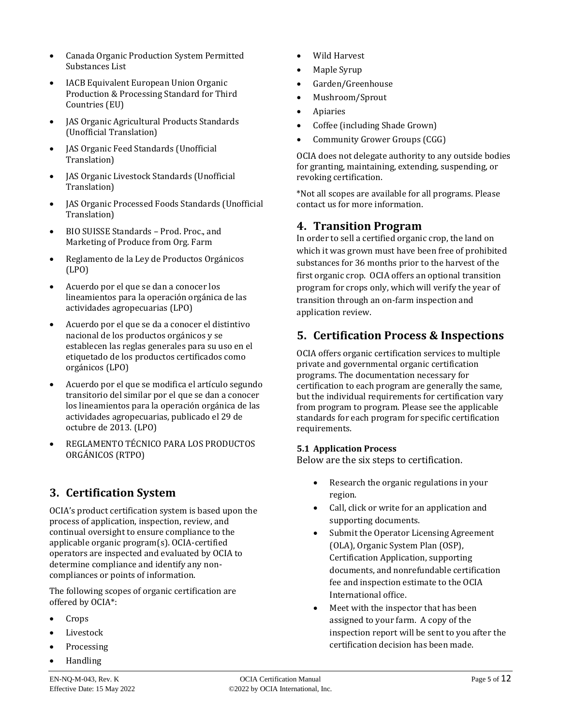- Canada Organic Production System Permitted Substances List
- IACB Equivalent European Union Organic Production & Processing Standard for Third Countries (EU)
- JAS Organic Agricultural Products Standards (Unofficial Translation)
- JAS Organic Feed Standards (Unofficial Translation)
- JAS Organic Livestock Standards (Unofficial Translation)
- JAS Organic Processed Foods Standards (Unofficial Translation)
- BIO SUISSE Standards Prod. Proc., and Marketing of Produce from Org. Farm
- Reglamento de la Ley de Productos Orgánicos (LPO)
- Acuerdo por el que se dan a conocer los lineamientos para la operación orgánica de las actividades agropecuarias (LPO)
- Acuerdo por el que se da a conocer el distintivo nacional de los productos orgánicos y se establecen las reglas generales para su uso en el etiquetado de los productos certificados como orgánicos (LPO)
- Acuerdo por el que se modifica el artículo segundo transitorio del similar por el que se dan a conocer los lineamientos para la operación orgánica de las actividades agropecuarias, publicado el 29 de octubre de 2013. (LPO)
- REGLAMENTO TÉCNICO PARA LOS PRODUCTOS ORGÁNICOS (RTPO)

## <span id="page-4-0"></span>**3. Certification System**

OCIA's product certification system is based upon the process of application, inspection, review, and continual oversight to ensure compliance to the applicable organic program(s). OCIA-certified operators are inspected and evaluated by OCIA to determine compliance and identify any noncompliances or points of information.

The following scopes of organic certification are offered by OCIA\*:

- Crops
- **Livestock**
- **Processing**
- Handling
- Effective Date: 15 May 2022 **Canadical** C2022 by OCIA International, Inc.
- Wild Harvest
- Maple Syrup
- Garden/Greenhouse
- Mushroom/Sprout
- **Apiaries**
- Coffee (including Shade Grown)
- Community Grower Groups (CGG)

OCIA does not delegate authority to any outside bodies for granting, maintaining, extending, suspending, or revoking certification.

\*Not all scopes are available for all programs. Please contact us for more information.

#### <span id="page-4-1"></span>**4. Transition Program**

In order to sell a certified organic crop, the land on which it was grown must have been free of prohibited substances for 36 months prior to the harvest of the first organic crop. OCIA offers an optional transition program for crops only, which will verify the year of transition through an on-farm inspection and application review.

## **5. Certification Process & Inspections**

OCIA offers organic certification services to multiple private and governmental organic certification programs. The documentation necessary for certification to each program are generally the same, but the individual requirements for certification vary from program to program. Please see the applicable standards for each program for specific certification requirements.

#### <span id="page-4-2"></span>**5.1 Application Process**

Below are the six steps to certification.

- Research the organic regulations in your region.
- Call, click or write for an application and supporting documents.
- Submit the Operator Licensing Agreement (OLA), Organic System Plan (OSP), Certification Application, supporting documents, and nonrefundable certification fee and inspection estimate to the OCIA International office.
- Meet with the inspector that has been assigned to your farm. A copy of the inspection report will be sent to you after the certification decision has been made.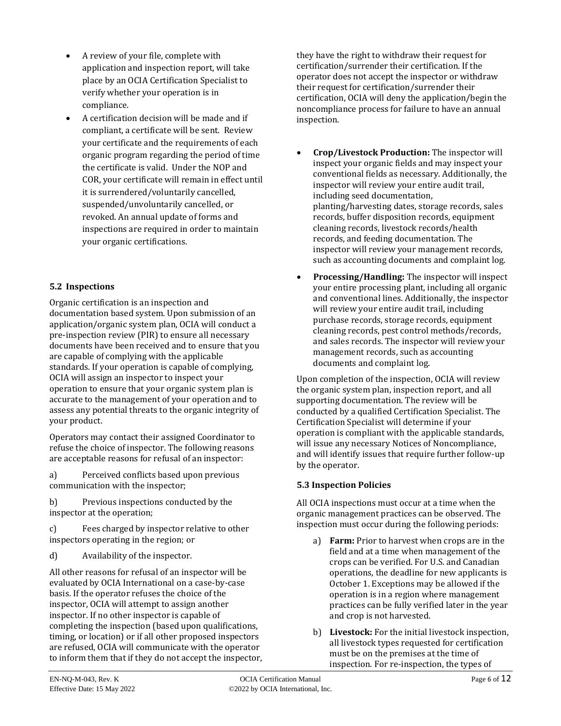- A review of your file, complete with application and inspection report, will take place by an OCIA Certification Specialist to verify whether your operation is in compliance.
- A certification decision will be made and if compliant, a certificate will be sent. Review your certificate and the requirements of each organic program regarding the period of time the certificate is valid. Under the NOP and COR, your certificate will remain in effect until it is surrendered/voluntarily cancelled, suspended/unvoluntarily cancelled, or revoked. An annual update of forms and inspections are required in order to maintain your organic certifications.

#### **5.2 Inspections**

Organic certification is an inspection and documentation based system. Upon submission of an application/organic system plan, OCIA will conduct a pre-inspection review (PIR) to ensure all necessary documents have been received and to ensure that you are capable of complying with the applicable standards. If your operation is capable of complying, OCIA will assign an inspector to inspect your operation to ensure that your organic system plan is accurate to the management of your operation and to assess any potential threats to the organic integrity of your product.

Operators may contact their assigned Coordinator to refuse the choice of inspector. The following reasons are acceptable reasons for refusal of an inspector:

a) Perceived conflicts based upon previous communication with the inspector;

b) Previous inspections conducted by the inspector at the operation;

c) Fees charged by inspector relative to other inspectors operating in the region; or

d) Availability of the inspector.

All other reasons for refusal of an inspector will be evaluated by OCIA International on a case-by-case basis. If the operator refuses the choice of the inspector, OCIA will attempt to assign another inspector. If no other inspector is capable of completing the inspection (based upon qualifications, timing, or location) or if all other proposed inspectors are refused, OCIA will communicate with the operator to inform them that if they do not accept the inspector, they have the right to withdraw their request for certification/surrender their certification. If the operator does not accept the inspector or withdraw their request for certification/surrender their certification, OCIA will deny the application/begin the noncompliance process for failure to have an annual inspection.

- **Crop/Livestock Production:** The inspector will inspect your organic fields and may inspect your conventional fields as necessary. Additionally, the inspector will review your entire audit trail, including seed documentation, planting/harvesting dates, storage records, sales records, buffer disposition records, equipment cleaning records, livestock records/health records, and feeding documentation. The inspector will review your management records, such as accounting documents and complaint log.
- **Processing/Handling:** The inspector will inspect your entire processing plant, including all organic and conventional lines. Additionally, the inspector will review your entire audit trail, including purchase records, storage records, equipment cleaning records, pest control methods/records, and sales records. The inspector will review your management records, such as accounting documents and complaint log.

Upon completion of the inspection, OCIA will review the organic system plan, inspection report, and all supporting documentation. The review will be conducted by a qualified Certification Specialist. The Certification Specialist will determine if your operation is compliant with the applicable standards, will issue any necessary Notices of Noncompliance, and will identify issues that require further follow-up by the operator.

#### **5.3 Inspection Policies**

All OCIA inspections must occur at a time when the organic management practices can be observed. The inspection must occur during the following periods:

- a) **Farm:** Prior to harvest when crops are in the field and at a time when management of the crops can be verified. For U.S. and Canadian operations, the deadline for new applicants is October 1. Exceptions may be allowed if the operation is in a region where management practices can be fully verified later in the year and crop is not harvested.
- b) **Livestock:** For the initial livestock inspection, all livestock types requested for certification must be on the premises at the time of inspection. For re-inspection, the types of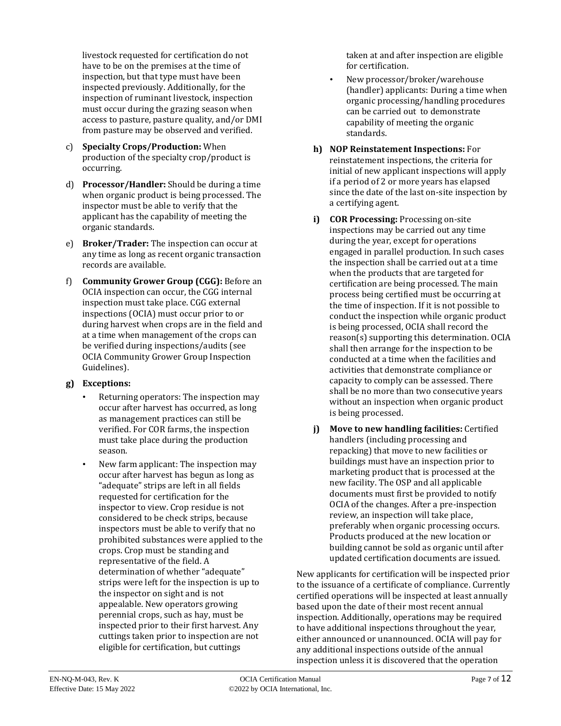livestock requested for certification do not have to be on the premises at the time of inspection, but that type must have been inspected previously. Additionally, for the inspection of ruminant livestock, inspection must occur during the grazing season when access to pasture, pasture quality, and/or DMI from pasture may be observed and verified.

- c) **Specialty Crops/Production:** When production of the specialty crop/product is occurring.
- d) **Processor/Handler:** Should be during a time when organic product is being processed. The inspector must be able to verify that the applicant has the capability of meeting the organic standards.
- e) **Broker/Trader:** The inspection can occur at any time as long as recent organic transaction records are available.
- f) **Community Grower Group (CGG):** Before an OCIA inspection can occur, the CGG internal inspection must take place. CGG external inspections (OCIA) must occur prior to or during harvest when crops are in the field and at a time when management of the crops can be verified during inspections/audits (see OCIA Community Grower Group Inspection Guidelines).

#### **g) Exceptions:**

- Returning operators: The inspection may occur after harvest has occurred, as long as management practices can still be verified. For COR farms, the inspection must take place during the production season.
- New farm applicant: The inspection may occur after harvest has begun as long as "adequate" strips are left in all fields requested for certification for the inspector to view. Crop residue is not considered to be check strips, because inspectors must be able to verify that no prohibited substances were applied to the crops. Crop must be standing and representative of the field. A determination of whether "adequate" strips were left for the inspection is up to the inspector on sight and is not appealable. New operators growing perennial crops, such as hay, must be inspected prior to their first harvest. Any cuttings taken prior to inspection are not eligible for certification, but cuttings

taken at and after inspection are eligible for certification.

- New processor/broker/warehouse (handler) applicants: During a time when organic processing/handling procedures can be carried out to demonstrate capability of meeting the organic standards.
- **h) NOP Reinstatement Inspections:** For reinstatement inspections, the criteria for initial of new applicant inspections will apply if a period of 2 or more years has elapsed since the date of the last on-site inspection by a certifying agent.
- **i) COR Processing:** Processing on-site inspections may be carried out any time during the year, except for operations engaged in parallel production. In such cases the inspection shall be carried out at a time when the products that are targeted for certification are being processed. The main process being certified must be occurring at the time of inspection. If it is not possible to conduct the inspection while organic product is being processed, OCIA shall record the reason(s) supporting this determination. OCIA shall then arrange for the inspection to be conducted at a time when the facilities and activities that demonstrate compliance or capacity to comply can be assessed. There shall be no more than two consecutive years without an inspection when organic product is being processed.
- **j) Move to new handling facilities:** Certified handlers (including processing and repacking) that move to new facilities or buildings must have an inspection prior to marketing product that is processed at the new facility. The OSP and all applicable documents must first be provided to notify OCIA of the changes. After a pre-inspection review, an inspection will take place, preferably when organic processing occurs. Products produced at the new location or building cannot be sold as organic until after updated certification documents are issued.

New applicants for certification will be inspected prior to the issuance of a certificate of compliance. Currently certified operations will be inspected at least annually based upon the date of their most recent annual inspection. Additionally, operations may be required to have additional inspections throughout the year, either announced or unannounced. OCIA will pay for any additional inspections outside of the annual inspection unless it is discovered that the operation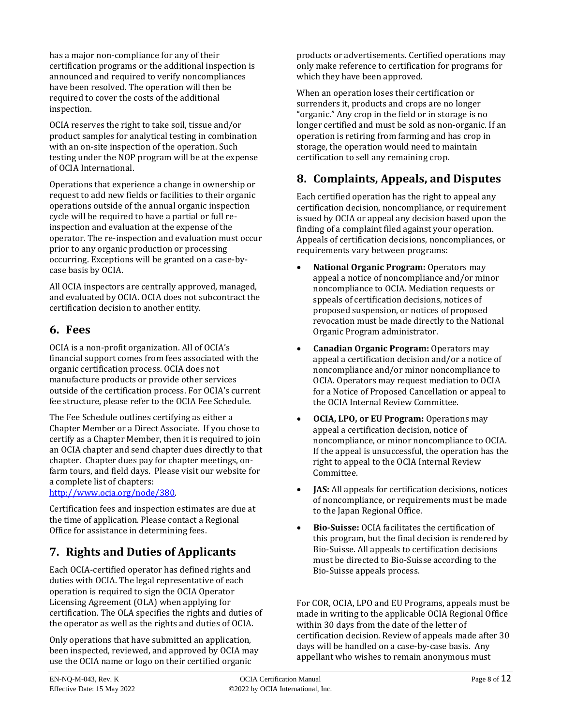has a major non-compliance for any of their certification programs or the additional inspection is announced and required to verify noncompliances have been resolved. The operation will then be required to cover the costs of the additional inspection.

OCIA reserves the right to take soil, tissue and/or product samples for analytical testing in combination with an on-site inspection of the operation. Such testing under the NOP program will be at the expense of OCIA International.

Operations that experience a change in ownership or request to add new fields or facilities to their organic operations outside of the annual organic inspection cycle will be required to have a partial or full reinspection and evaluation at the expense of the operator. The re-inspection and evaluation must occur prior to any organic production or processing occurring. Exceptions will be granted on a case-bycase basis by OCIA.

All OCIA inspectors are centrally approved, managed, and evaluated by OCIA. OCIA does not subcontract the certification decision to another entity.

## <span id="page-7-0"></span>**6. Fees**

OCIA is a non-profit organization. All of OCIA's financial support comes from fees associated with the organic certification process. OCIA does not manufacture products or provide other services outside of the certification process. For OCIA's current fee structure, please refer to the OCIA Fee Schedule.

The Fee Schedule outlines certifying as either a Chapter Member or a Direct Associate. If you chose to certify as a Chapter Member, then it is required to join an OCIA chapter and send chapter dues directly to that chapter. Chapter dues pay for chapter meetings, onfarm tours, and field days. Please visit our website for a complete list of chapters:

[http://www.ocia.org/node/380.](http://www.ocia.org/node/380)

Certification fees and inspection estimates are due at the time of application. Please contact a Regional Office for assistance in determining fees.

## <span id="page-7-1"></span>**7. Rights and Duties of Applicants**

Each OCIA-certified operator has defined rights and duties with OCIA. The legal representative of each operation is required to sign the OCIA Operator Licensing Agreement (OLA) when applying for certification. The OLA specifies the rights and duties of the operator as well as the rights and duties of OCIA.

Only operations that have submitted an application, been inspected, reviewed, and approved by OCIA may use the OCIA name or logo on their certified organic

products or advertisements. Certified operations may only make reference to certification for programs for which they have been approved.

When an operation loses their certification or surrenders it, products and crops are no longer "organic." Any crop in the field or in storage is no longer certified and must be sold as non-organic. If an operation is retiring from farming and has crop in storage, the operation would need to maintain certification to sell any remaining crop.

## <span id="page-7-2"></span>**8. Complaints, Appeals, and Disputes**

Each certified operation has the right to appeal any certification decision, noncompliance, or requirement issued by OCIA or appeal any decision based upon the finding of a complaint filed against your operation. Appeals of certification decisions, noncompliances, or requirements vary between programs:

- **National Organic Program:** Operators may appeal a notice of noncompliance and/or minor noncompliance to OCIA. Mediation requests or sppeals of certification decisions, notices of proposed suspension, or notices of proposed revocation must be made directly to the National Organic Program administrator.
- **Canadian Organic Program:** Operators may appeal a certification decision and/or a notice of noncompliance and/or minor noncompliance to OCIA. Operators may request mediation to OCIA for a Notice of Proposed Cancellation or appeal to the OCIA Internal Review Committee.
- **OCIA, LPO, or EU Program:** Operations may appeal a certification decision, notice of noncompliance, or minor noncompliance to OCIA. If the appeal is unsuccessful, the operation has the right to appeal to the OCIA Internal Review Committee.
- **JAS:** All appeals for certification decisions, notices of noncompliance, or requirements must be made to the Japan Regional Office.
- **Bio-Suisse:** OCIA facilitates the certification of this program, but the final decision is rendered by Bio-Suisse. All appeals to certification decisions must be directed to Bio-Suisse according to the Bio-Suisse appeals process.

For COR, OCIA, LPO and EU Programs, appeals must be made in writing to the applicable OCIA Regional Office within 30 days from the date of the letter of certification decision. Review of appeals made after 30 days will be handled on a case-by-case basis. Any appellant who wishes to remain anonymous must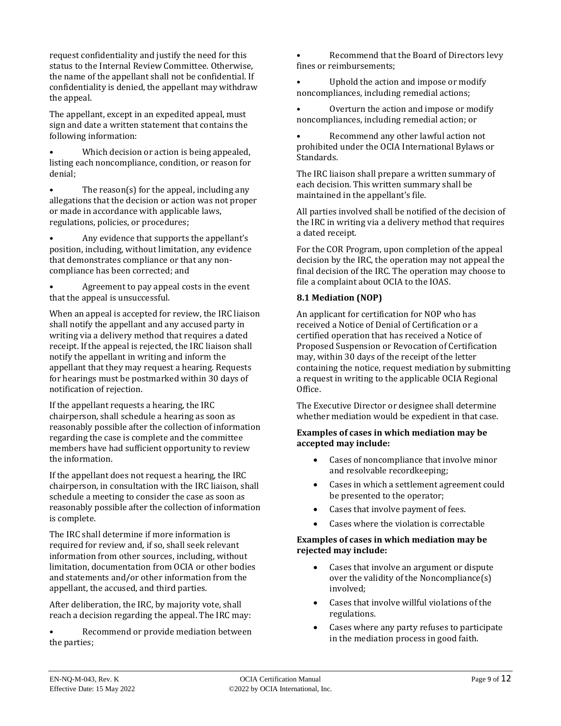request confidentiality and justify the need for this status to the Internal Review Committee. Otherwise, the name of the appellant shall not be confidential. If confidentiality is denied, the appellant may withdraw the appeal.

The appellant, except in an expedited appeal, must sign and date a written statement that contains the following information:

• Which decision or action is being appealed, listing each noncompliance, condition, or reason for denial;

• The reason(s) for the appeal, including any allegations that the decision or action was not proper or made in accordance with applicable laws, regulations, policies, or procedures;

• Any evidence that supports the appellant's position, including, without limitation, any evidence that demonstrates compliance or that any noncompliance has been corrected; and

• Agreement to pay appeal costs in the event that the appeal is unsuccessful.

When an appeal is accepted for review, the IRC liaison shall notify the appellant and any accused party in writing via a delivery method that requires a dated receipt. If the appeal is rejected, the IRC liaison shall notify the appellant in writing and inform the appellant that they may request a hearing. Requests for hearings must be postmarked within 30 days of notification of rejection.

If the appellant requests a hearing, the IRC chairperson, shall schedule a hearing as soon as reasonably possible after the collection of information regarding the case is complete and the committee members have had sufficient opportunity to review the information.

If the appellant does not request a hearing, the IRC chairperson, in consultation with the IRC liaison, shall schedule a meeting to consider the case as soon as reasonably possible after the collection of information is complete.

The IRC shall determine if more information is required for review and, if so, shall seek relevant information from other sources, including, without limitation, documentation from OCIA or other bodies and statements and/or other information from the appellant, the accused, and third parties.

After deliberation, the IRC, by majority vote, shall reach a decision regarding the appeal. The IRC may:

• Recommend or provide mediation between the parties;

• Recommend that the Board of Directors levy fines or reimbursements;

Uphold the action and impose or modify noncompliances, including remedial actions;

• Overturn the action and impose or modify noncompliances, including remedial action; or

• Recommend any other lawful action not prohibited under the OCIA International Bylaws or Standards.

The IRC liaison shall prepare a written summary of each decision. This written summary shall be maintained in the appellant's file.

All parties involved shall be notified of the decision of the IRC in writing via a delivery method that requires a dated receipt.

For the COR Program, upon completion of the appeal decision by the IRC, the operation may not appeal the final decision of the IRC. The operation may choose to file a complaint about OCIA to the IOAS.

#### **8.1 Mediation (NOP)**

An applicant for certification for NOP who has received a Notice of Denial of Certification or a certified operation that has received a Notice of Proposed Suspension or Revocation of Certification may, within 30 days of the receipt of the letter containing the notice, request mediation by submitting a request in writing to the applicable OCIA Regional Office.

The Executive Director or designee shall determine whether mediation would be expedient in that case.

#### **Examples of cases in which mediation may be accepted may include:**

- Cases of noncompliance that involve minor and resolvable recordkeeping;
- Cases in which a settlement agreement could be presented to the operator;
- Cases that involve payment of fees.
- Cases where the violation is correctable

#### **Examples of cases in which mediation may be rejected may include:**

- Cases that involve an argument or dispute over the validity of the Noncompliance(s) involved;
- Cases that involve willful violations of the regulations.
- Cases where any party refuses to participate in the mediation process in good faith.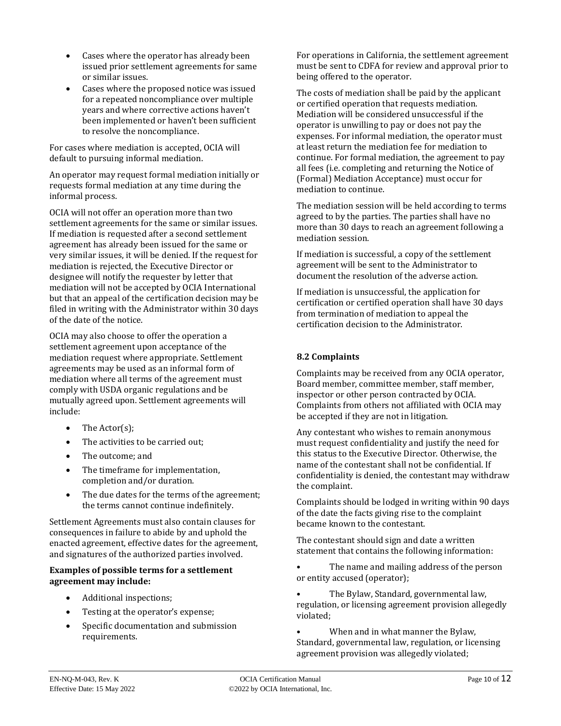- Cases where the operator has already been issued prior settlement agreements for same or similar issues.
- Cases where the proposed notice was issued for a repeated noncompliance over multiple years and where corrective actions haven't been implemented or haven't been sufficient to resolve the noncompliance.

For cases where mediation is accepted, OCIA will default to pursuing informal mediation.

An operator may request formal mediation initially or requests formal mediation at any time during the informal process.

OCIA will not offer an operation more than two settlement agreements for the same or similar issues. If mediation is requested after a second settlement agreement has already been issued for the same or very similar issues, it will be denied. If the request for mediation is rejected, the Executive Director or designee will notify the requester by letter that mediation will not be accepted by OCIA International but that an appeal of the certification decision may be filed in writing with the Administrator within 30 days of the date of the notice.

OCIA may also choose to offer the operation a settlement agreement upon acceptance of the mediation request where appropriate. Settlement agreements may be used as an informal form of mediation where all terms of the agreement must comply with USDA organic regulations and be mutually agreed upon. Settlement agreements will include:

- The Actor(s);
- The activities to be carried out:
- The outcome; and
- The timeframe for implementation, completion and/or duration.
- The due dates for the terms of the agreement; the terms cannot continue indefinitely.

Settlement Agreements must also contain clauses for consequences in failure to abide by and uphold the enacted agreement, effective dates for the agreement, and signatures of the authorized parties involved.

#### **Examples of possible terms for a settlement agreement may include:**

- Additional inspections;
- Testing at the operator's expense;
- Specific documentation and submission requirements.

For operations in California, the settlement agreement must be sent to CDFA for review and approval prior to being offered to the operator.

The costs of mediation shall be paid by the applicant or certified operation that requests mediation. Mediation will be considered unsuccessful if the operator is unwilling to pay or does not pay the expenses. For informal mediation, the operator must at least return the mediation fee for mediation to continue. For formal mediation, the agreement to pay all fees (i.e. completing and returning the Notice of (Formal) Mediation Acceptance) must occur for mediation to continue.

The mediation session will be held according to terms agreed to by the parties. The parties shall have no more than 30 days to reach an agreement following a mediation session.

If mediation is successful, a copy of the settlement agreement will be sent to the Administrator to document the resolution of the adverse action.

If mediation is unsuccessful, the application for certification or certified operation shall have 30 days from termination of mediation to appeal the certification decision to the Administrator.

#### **8.2 Complaints**

Complaints may be received from any OCIA operator, Board member, committee member, staff member, inspector or other person contracted by OCIA. Complaints from others not affiliated with OCIA may be accepted if they are not in litigation.

Any contestant who wishes to remain anonymous must request confidentiality and justify the need for this status to the Executive Director. Otherwise, the name of the contestant shall not be confidential. If confidentiality is denied, the contestant may withdraw the complaint.

Complaints should be lodged in writing within 90 days of the date the facts giving rise to the complaint became known to the contestant.

The contestant should sign and date a written statement that contains the following information:

• The name and mailing address of the person or entity accused (operator);

• The Bylaw, Standard, governmental law, regulation, or licensing agreement provision allegedly violated;

When and in what manner the Bylaw, Standard, governmental law, regulation, or licensing agreement provision was allegedly violated;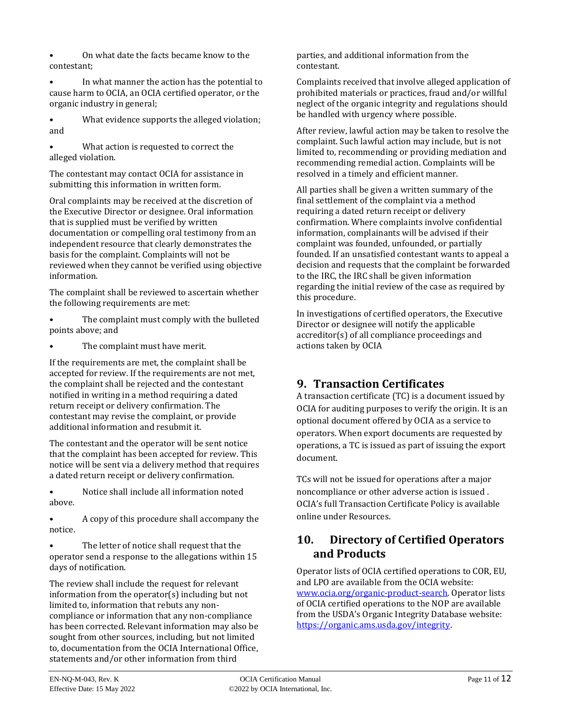• On what date the facts became know to the contestant;

In what manner the action has the potential to cause harm to OCIA, an OCIA certified operator, or the organic industry in general;

• What evidence supports the alleged violation; and

What action is requested to correct the alleged violation.

The contestant may contact OCIA for assistance in submitting this information in written form.

Oral complaints may be received at the discretion of the Executive Director or designee. Oral information that is supplied must be verified by written documentation or compelling oral testimony from an independent resource that clearly demonstrates the basis for the complaint. Complaints will not be reviewed when they cannot be verified using objective information.

The complaint shall be reviewed to ascertain whether the following requirements are met:

- The complaint must comply with the bulleted points above; and
- The complaint must have merit.

If the requirements are met, the complaint shall be accepted for review. If the requirements are not met, the complaint shall be rejected and the contestant notified in writing in a method requiring a dated return receipt or delivery confirmation. The contestant may revise the complaint, or provide additional information and resubmit it.

The contestant and the operator will be sent notice that the complaint has been accepted for review. This notice will be sent via a delivery method that requires a dated return receipt or delivery confirmation.

• Notice shall include all information noted above.

• A copy of this procedure shall accompany the notice.

The letter of notice shall request that the operator send a response to the allegations within 15 days of notification.

The review shall include the request for relevant information from the operator(s) including but not limited to, information that rebuts any noncompliance or information that any non-compliance has been corrected. Relevant information may also be sought from other sources, including, but not limited to, documentation from the OCIA International Office, statements and/or other information from third

parties, and additional information from the contestant.

Complaints received that involve alleged application of prohibited materials or practices, fraud and/or willful neglect of the organic integrity and regulations should be handled with urgency where possible.

After review, lawful action may be taken to resolve the complaint. Such lawful action may include, but is not limited to, recommending or providing mediation and recommending remedial action. Complaints will be resolved in a timely and efficient manner.

All parties shall be given a written summary of the final settlement of the complaint via a method requiring a dated return receipt or delivery confirmation. Where complaints involve confidential information, complainants will be advised if their complaint was founded, unfounded, or partially founded. If an unsatisfied contestant wants to appeal a decision and requests that the complaint be forwarded to the IRC, the IRC shall be given information regarding the initial review of the case as required by this procedure.

In investigations of certified operators, the Executive Director or designee will notify the applicable accreditor(s) of all compliance proceedings and actions taken by OCIA

## <span id="page-10-0"></span>**9. Transaction Certificates**

A transaction certificate (TC) is a document issued by OCIA for auditing purposes to verify the origin. It is an optional document offered by OCIA as a service to operators. When export documents are requested by operations, a TC is issued as part of issuing the export document.

TCs will not be issued for operations after a major noncompliance or other adverse action is issued . OCIA's full Transaction Certificate Policy is available online under Resources.

## **10. Directory of Certified Operators and Products**

Operator lists of OCIA certified operations to COR, EU, and LPO are available from the OCIA website: [www.ocia.org/organic-product-search.](http://www.ocia.org/organic-product-search) Operator lists of OCIA certified operations to the NOP are available from the USDA's Organic Integrity Database website: [https://organic.ams.usda.gov/integrity.](https://organic.ams.usda.gov/integrity)